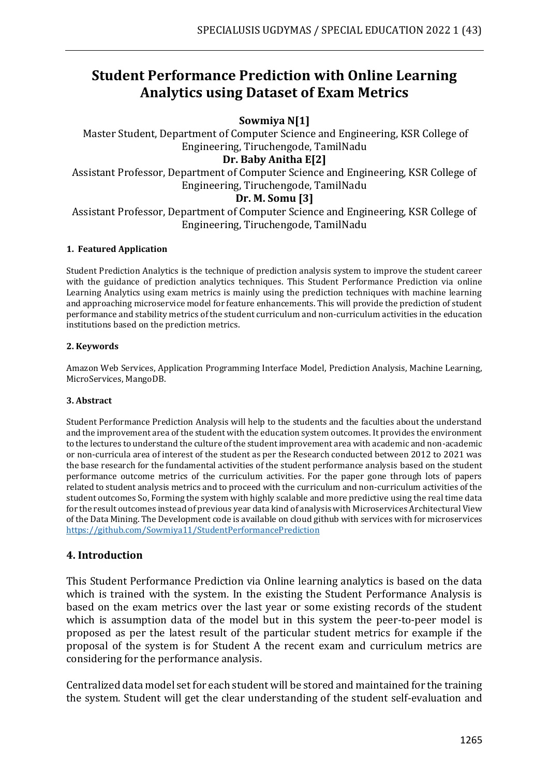# **Student Performance Prediction with Online Learning Analytics using Dataset of Exam Metrics**

## **Sowmiya N[1]**

Master Student, Department of Computer Science and Engineering, KSR College of Engineering, Tiruchengode, TamilNadu

#### **Dr. Baby Anitha E[2]**

Assistant Professor, Department of Computer Science and Engineering, KSR College of Engineering, Tiruchengode, TamilNadu

## **Dr. M. Somu [3]**

Assistant Professor, Department of Computer Science and Engineering, KSR College of Engineering, Tiruchengode, TamilNadu

#### **1. Featured Application**

Student Prediction Analytics is the technique of prediction analysis system to improve the student career with the guidance of prediction analytics techniques. This Student Performance Prediction via online Learning Analytics using exam metrics is mainly using the prediction techniques with machine learning and approaching microservice model for feature enhancements. This will provide the prediction of student performance and stability metrics of the student curriculum and non-curriculum activities in the education institutions based on the prediction metrics.

#### **2. Keywords**

Amazon Web Services, Application Programming Interface Model, Prediction Analysis, Machine Learning, MicroServices, MangoDB.

#### **3. Abstract**

Student Performance Prediction Analysis will help to the students and the faculties about the understand and the improvement area of the student with the education system outcomes. It provides the environment to the lectures to understand the culture of the student improvement area with academic and non-academic or non-curricula area of interest of the student as per the Research conducted between 2012 to 2021 was the base research for the fundamental activities of the student performance analysis based on the student performance outcome metrics of the curriculum activities. For the paper gone through lots of papers related to student analysis metrics and to proceed with the curriculum and non-curriculum activities of the student outcomes So, Forming the system with highly scalable and more predictive using the real time data for the result outcomes instead of previous year data kind of analysis with Microservices Architectural View of the Data Mining. The Development code is available on cloud github with services with for microservices <https://github.com/Sowmiya11/StudentPerformancePrediction>

## **4. Introduction**

This Student Performance Prediction via Online learning analytics is based on the data which is trained with the system. In the existing the Student Performance Analysis is based on the exam metrics over the last year or some existing records of the student which is assumption data of the model but in this system the peer-to-peer model is proposed as per the latest result of the particular student metrics for example if the proposal of the system is for Student A the recent exam and curriculum metrics are considering for the performance analysis.

Centralized data model set for each student will be stored and maintained for the training the system. Student will get the clear understanding of the student self-evaluation and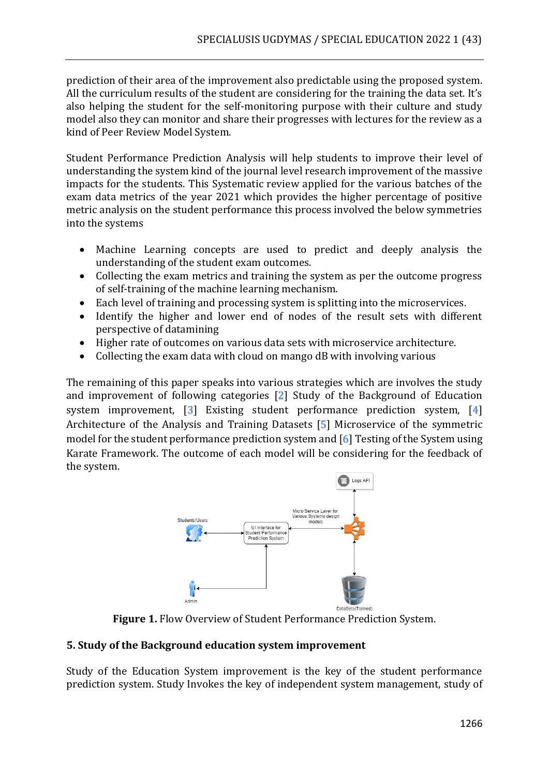prediction of their area of the improvement also predictable using the proposed system. All the curriculum results of the student are considering for the training the data set. It's also helping the student for the self-monitoring purpose with their culture and study model also they can monitor and share their progresses with lectures for the review as a kind of Peer Review Model System.

Student Performance Prediction Analysis will help students to improve their level of understanding the system kind of the journal level research improvement of the massive impacts for the students. This Systematic review applied for the various batches of the exam data metrics of the year 2021 which provides the higher percentage of positive metric analysis on the student performance this process involved the below symmetries into the systems

- Machine Learning concepts are used to predict and deeply analysis the understanding of the student exam outcomes.
- Collecting the exam metrics and training the system as per the outcome progress of self-training of the machine learning mechanism.
- Each level of training and processing system is splitting into the microservices.
- Identify the higher and lower end of nodes of the result sets with different perspective of datamining
- Higher rate of outcomes on various data sets with microservice architecture.
- Collecting the exam data with cloud on mango dB with involving various

The remaining of this paper speaks into various strategies which are involves the study and improvement of following categories [2] Study of the Background of Education system improvement, [3] Existing student performance prediction system, [4] Architecture of the Analysis and Training Datasets [5] Microservice of the symmetric model for the student performance prediction system and [6] Testing of the System using Karate Framework. The outcome of each model will be considering for the feedback of the system.



**Figure 1.** Flow Overview of Student Performance Prediction System.

# **5. Study of the Background education system improvement**

Study of the Education System improvement is the key of the student performance prediction system. Study Invokes the key of independent system management, study of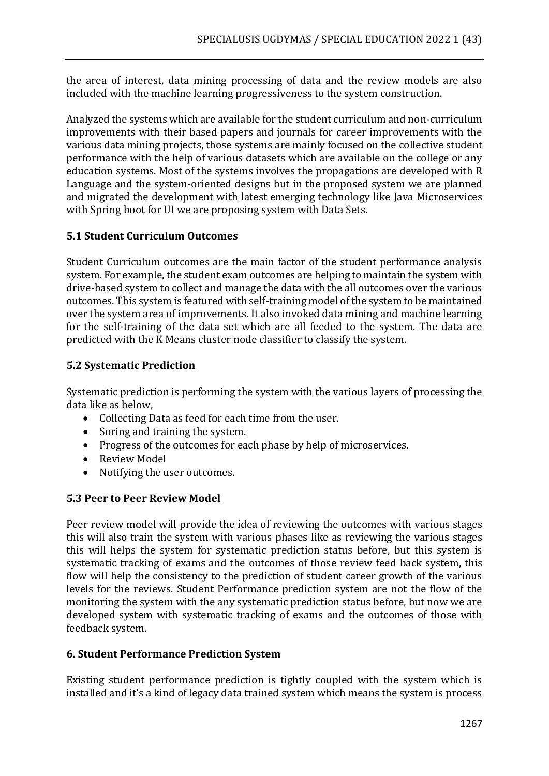the area of interest, data mining processing of data and the review models are also included with the machine learning progressiveness to the system construction.

Analyzed the systems which are available for the student curriculum and non-curriculum improvements with their based papers and journals for career improvements with the various data mining projects, those systems are mainly focused on the collective student performance with the help of various datasets which are available on the college or any education systems. Most of the systems involves the propagations are developed with R Language and the system-oriented designs but in the proposed system we are planned and migrated the development with latest emerging technology like Java Microservices with Spring boot for UI we are proposing system with Data Sets.

## **5.1 Student Curriculum Outcomes**

Student Curriculum outcomes are the main factor of the student performance analysis system. For example, the student exam outcomes are helping to maintain the system with drive-based system to collect and manage the data with the all outcomes over the various outcomes. This system is featured with self-training model of the system to be maintained over the system area of improvements. It also invoked data mining and machine learning for the self-training of the data set which are all feeded to the system. The data are predicted with the K Means cluster node classifier to classify the system.

# **5.2 Systematic Prediction**

Systematic prediction is performing the system with the various layers of processing the data like as below,

- Collecting Data as feed for each time from the user.
- Soring and training the system.
- Progress of the outcomes for each phase by help of microservices.
- Review Model
- Notifying the user outcomes.

## **5.3 Peer to Peer Review Model**

Peer review model will provide the idea of reviewing the outcomes with various stages this will also train the system with various phases like as reviewing the various stages this will helps the system for systematic prediction status before, but this system is systematic tracking of exams and the outcomes of those review feed back system, this flow will help the consistency to the prediction of student career growth of the various levels for the reviews. Student Performance prediction system are not the flow of the monitoring the system with the any systematic prediction status before, but now we are developed system with systematic tracking of exams and the outcomes of those with feedback system.

## **6. Student Performance Prediction System**

Existing student performance prediction is tightly coupled with the system which is installed and it's a kind of legacy data trained system which means the system is process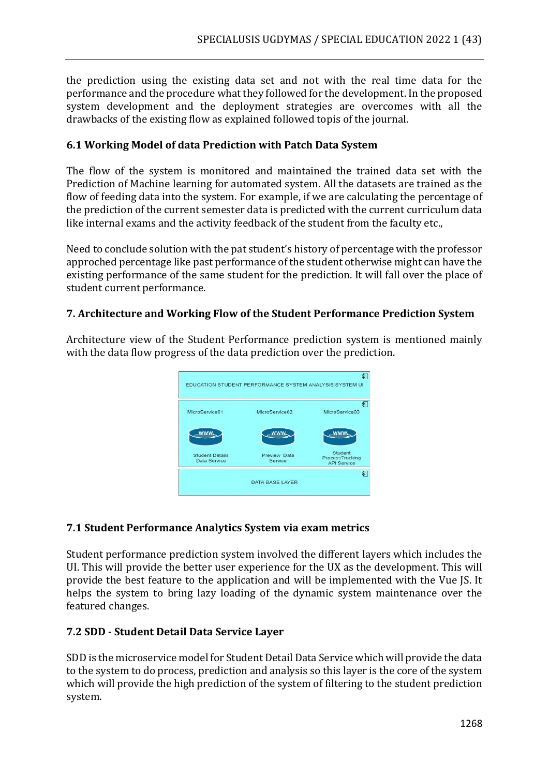the prediction using the existing data set and not with the real time data for the performance and the procedure what they followed for the development. In the proposed system development and the deployment strategies are overcomes with all the drawbacks of the existing flow as explained followed topis of the journal.

# **6.1 Working Model of data Prediction with Patch Data System**

The flow of the system is monitored and maintained the trained data set with the Prediction of Machine learning for automated system. All the datasets are trained as the flow of feeding data into the system. For example, if we are calculating the percentage of the prediction of the current semester data is predicted with the current curriculum data like internal exams and the activity feedback of the student from the faculty etc.,

Need to conclude solution with the pat student's history of percentage with the professor approched percentage like past performance of the student otherwise might can have the existing performance of the same student for the prediction. It will fall over the place of student current performance.

# **7. Architecture and Working Flow of the Student Performance Prediction System**

Architecture view of the Student Performance prediction system is mentioned mainly with the data flow progress of the data prediction over the prediction.



## **7.1 Student Performance Analytics System via exam metrics**

Student performance prediction system involved the different layers which includes the UI. This will provide the better user experience for the UX as the development. This will provide the best feature to the application and will be implemented with the Vue JS. It helps the system to bring lazy loading of the dynamic system maintenance over the featured changes.

## **7.2 SDD - Student Detail Data Service Layer**

SDD is the microservice model for Student Detail Data Service which will provide the data to the system to do process, prediction and analysis so this layer is the core of the system which will provide the high prediction of the system of filtering to the student prediction system.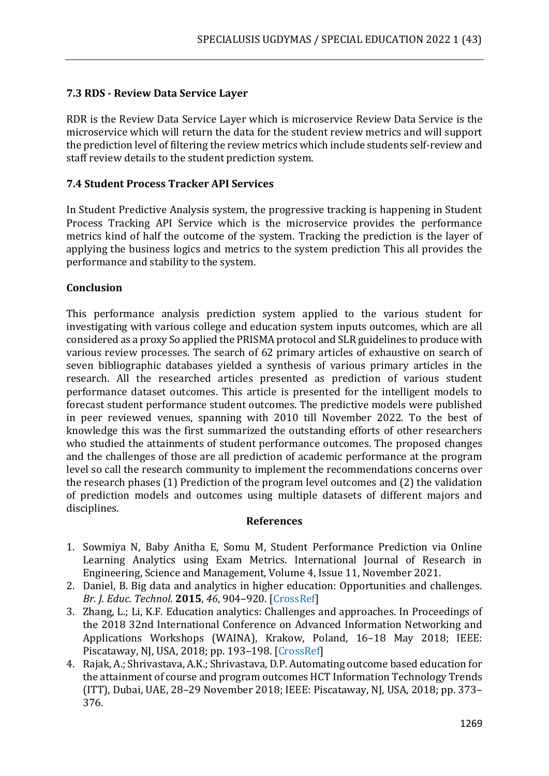# **7.3 RDS - Review Data Service Layer**

RDR is the Review Data Service Layer which is microservice Review Data Service is the microservice which will return the data for the student review metrics and will support the prediction level of filtering the review metrics which include students self-review and staff review details to the student prediction system.

# **7.4 Student Process Tracker API Services**

In Student Predictive Analysis system, the progressive tracking is happening in Student Process Tracking API Service which is the microservice provides the performance metrics kind of half the outcome of the system. Tracking the prediction is the layer of applying the business logics and metrics to the system prediction This all provides the performance and stability to the system.

# **Conclusion**

This performance analysis prediction system applied to the various student for investigating with various college and education system inputs outcomes, which are all considered as a proxy So applied the PRISMA protocol and SLR guidelines to produce with various review processes. The search of 62 primary articles of exhaustive on search of seven bibliographic databases yielded a synthesis of various primary articles in the research. All the researched articles presented as prediction of various student performance dataset outcomes. This article is presented for the intelligent models to forecast student performance student outcomes. The predictive models were published in peer reviewed venues, spanning with 2010 till November 2022. To the best of knowledge this was the first summarized the outstanding efforts of other researchers who studied the attainments of student performance outcomes. The proposed changes and the challenges of those are all prediction of academic performance at the program level so call the research community to implement the recommendations concerns over the research phases (1) Prediction of the program level outcomes and (2) the validation of prediction models and outcomes using multiple datasets of different majors and disciplines.

#### **References**

- 1. Sowmiya N, Baby Anitha E, Somu M, Student Performance Prediction via Online Learning Analytics using Exam Metrics. International Journal of Research in Engineering, Science and Management, Volume 4, Issue 11, November 2021.
- 2. Daniel, B. Big data and analytics in higher education: Opportunities and challenges. *Br. J. Educ. Technol.* **2015**, *46*, 904–920. [CrossRef]
- 3. Zhang, L.; Li, K.F. Education analytics: Challenges and approaches. In Proceedings of the 2018 32nd International Conference on Advanced Information Networking and Applications Workshops (WAINA), Krakow, Poland, 16–18 May 2018; IEEE: Piscataway, NJ, USA, 2018; pp. 193–198. [CrossRef]
- 4. Rajak, A.; Shrivastava, A.K.; Shrivastava, D.P. Automating outcome based education for the attainment of course and program outcomes HCT Information Technology Trends (ITT), Dubai, UAE, 28–29 November 2018; IEEE: Piscataway, NJ, USA, 2018; pp. 373– 376.